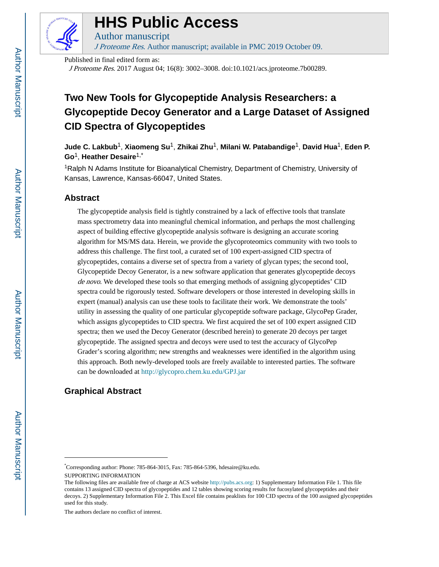

# **HHS Public Access**

Author manuscript J Proteome Res. Author manuscript; available in PMC 2019 October 09.

Published in final edited form as:

J Proteome Res. 2017 August 04; 16(8): 3002–3008. doi:10.1021/acs.jproteome.7b00289.

## **Two New Tools for Glycopeptide Analysis Researchers: a Glycopeptide Decoy Generator and a Large Dataset of Assigned CID Spectra of Glycopeptides**

**Jude C. Lakbub**1, **Xiaomeng Su**1, **Zhikai Zhu**1, **Milani W. Patabandige**1, **David Hua**1, **Eden P. Go**1, **Heather Desaire**1,\*

<sup>1</sup>Ralph N Adams Institute for Bioanalytical Chemistry, Department of Chemistry, University of Kansas, Lawrence, Kansas-66047, United States.

## **Abstract**

The glycopeptide analysis field is tightly constrained by a lack of effective tools that translate mass spectrometry data into meaningful chemical information, and perhaps the most challenging aspect of building effective glycopeptide analysis software is designing an accurate scoring algorithm for MS/MS data. Herein, we provide the glycoproteomics community with two tools to address this challenge. The first tool, a curated set of 100 expert-assigned CID spectra of glycopeptides, contains a diverse set of spectra from a variety of glycan types; the second tool, Glycopeptide Decoy Generator, is a new software application that generates glycopeptide decoys de novo. We developed these tools so that emerging methods of assigning glycopeptides' CID spectra could be rigorously tested. Software developers or those interested in developing skills in expert (manual) analysis can use these tools to facilitate their work. We demonstrate the tools' utility in assessing the quality of one particular glycopeptide software package, GlycoPep Grader, which assigns glycopeptides to CID spectra. We first acquired the set of 100 expert assigned CID spectra; then we used the Decoy Generator (described herein) to generate 20 decoys per target glycopeptide. The assigned spectra and decoys were used to test the accuracy of GlycoPep Grader's scoring algorithm; new strengths and weaknesses were identified in the algorithm using this approach. Both newly-developed tools are freely available to interested parties. The software can be downloaded at<http://glycopro.chem.ku.edu/GPJ.jar>

## **Graphical Abstract**

<sup>\*</sup>Corresponding author: Phone: 785-864-3015, Fax: 785-864-5396, hdesaire@ku.edu.

SUPPORTING INFORMATION

The following files are available free of charge at ACS website [http://pubs.acs.org:](http://pubs.acs.org/) 1) Supplementary Information File 1. This file contains 13 assigned CID spectra of glycopeptides and 12 tables showing scoring results for fucosylated glycopeptides and their decoys. 2) Supplementary Information File 2. This Excel file contains peaklists for 100 CID spectra of the 100 assigned glycopeptides used for this study.

The authors declare no conflict of interest.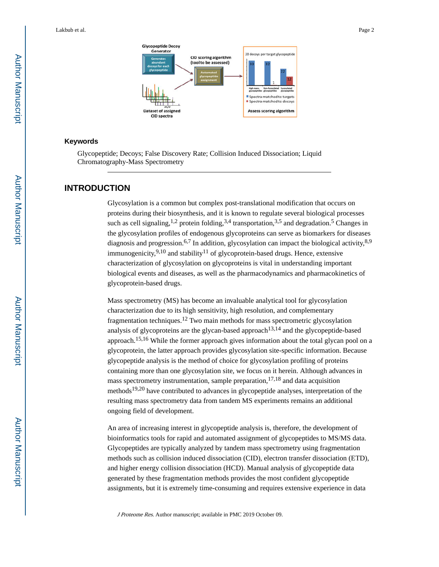

#### **Keywords**

Glycopeptide; Decoys; False Discovery Rate; Collision Induced Dissociation; Liquid Chromatography-Mass Spectrometry

#### **INTRODUCTION**

Glycosylation is a common but complex post-translational modification that occurs on proteins during their biosynthesis, and it is known to regulate several biological processes such as cell signaling,<sup>1,2</sup> protein folding,<sup>3,4</sup> transportation,<sup>3,5</sup> and degradation.<sup>5</sup> Changes in the glycosylation profiles of endogenous glycoproteins can serve as biomarkers for diseases diagnosis and progression.<sup>6,7</sup> In addition, glycosylation can impact the biological activity,<sup>8,9</sup> immunogenicity,  $9,10$  and stability  $11$  of glycoprotein-based drugs. Hence, extensive characterization of glycosylation on glycoproteins is vital in understanding important biological events and diseases, as well as the pharmacodynamics and pharmacokinetics of glycoprotein-based drugs.

Mass spectrometry (MS) has become an invaluable analytical tool for glycosylation characterization due to its high sensitivity, high resolution, and complementary fragmentation techniques.<sup>12</sup> Two main methods for mass spectrometric glycosylation analysis of glycoproteins are the glycan-based approach<sup>13,14</sup> and the glycopeptide-based approach.15,16 While the former approach gives information about the total glycan pool on a glycoprotein, the latter approach provides glycosylation site-specific information. Because glycopeptide analysis is the method of choice for glycosylation profiling of proteins containing more than one glycosylation site, we focus on it herein. Although advances in mass spectrometry instrumentation, sample preparation,  $17,18$  and data acquisition methods<sup>19,20</sup> have contributed to advances in glycopeptide analyses, interpretation of the resulting mass spectrometry data from tandem MS experiments remains an additional ongoing field of development.

An area of increasing interest in glycopeptide analysis is, therefore, the development of bioinformatics tools for rapid and automated assignment of glycopeptides to MS/MS data. Glycopeptides are typically analyzed by tandem mass spectrometry using fragmentation methods such as collision induced dissociation (CID), electron transfer dissociation (ETD), and higher energy collision dissociation (HCD). Manual analysis of glycopeptide data generated by these fragmentation methods provides the most confident glycopeptide assignments, but it is extremely time-consuming and requires extensive experience in data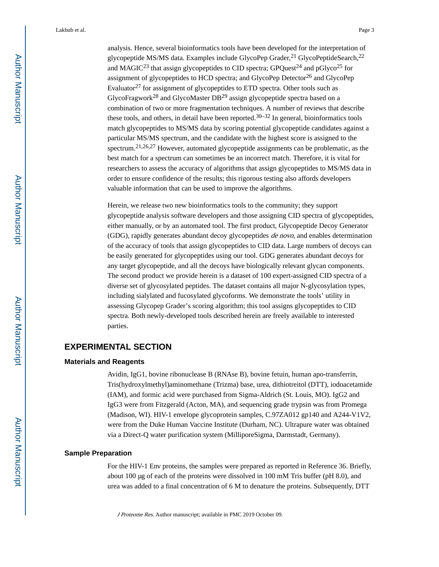analysis. Hence, several bioinformatics tools have been developed for the interpretation of glycopeptide MS/MS data. Examples include GlycoPep Grader,<sup>21</sup> GlycoPeptideSearch,<sup>22</sup> and MAGIC<sup>23</sup> that assign glycopeptides to CID spectra; GPQuest<sup>24</sup> and pGlyco<sup>25</sup> for assignment of glycopeptides to HCD spectra; and GlycoPep Detector $^{26}$  and GlycoPep Evaluator<sup>27</sup> for assignment of glycopeptides to ETD spectra. Other tools such as GlycoFragwork<sup>28</sup> and GlycoMaster  $DB^{29}$  assign glycopeptide spectra based on a combination of two or more fragmentation techniques. A number of reviews that describe these tools, and others, in detail have been reported.<sup>30–32</sup> In general, bioinformatics tools match glycopeptides to MS/MS data by scoring potential glycopeptide candidates against a particular MS/MS spectrum, and the candidate with the highest score is assigned to the spectrum.<sup>21,26,27</sup> However, automated glycopeptide assignments can be problematic, as the best match for a spectrum can sometimes be an incorrect match. Therefore, it is vital for researchers to assess the accuracy of algorithms that assign glycopeptides to MS/MS data in order to ensure confidence of the results; this rigorous testing also affords developers valuable information that can be used to improve the algorithms.

Herein, we release two new bioinformatics tools to the community; they support glycopeptide analysis software developers and those assigning CID spectra of glycopeptides, either manually, or by an automated tool. The first product, Glycopeptide Decoy Generator (GDG), rapidly generates abundant decoy glycopeptides de novo, and enables determination of the accuracy of tools that assign glycopeptides to CID data. Large numbers of decoys can be easily generated for glycopeptides using our tool. GDG generates abundant decoys for any target glycopeptide, and all the decoys have biologically relevant glycan components. The second product we provide herein is a dataset of 100 expert-assigned CID spectra of a diverse set of glycosylated peptides. The dataset contains all major N-glycosylation types, including sialylated and fucosylated glycoforms. We demonstrate the tools' utility in assessing Glycopep Grader's scoring algorithm; this tool assigns glycopeptides to CID spectra. Both newly-developed tools described herein are freely available to interested parties.

## **EXPERIMENTAL SECTION**

#### **Materials and Reagents**

Avidin, IgG1, bovine ribonuclease B (RNAse B), bovine fetuin, human apo-transferrin, Tris(hydroxylmethyl)aminomethane (Trizma) base, urea, dithiotreitol (DTT), iodoacetamide (IAM), and formic acid were purchased from Sigma-Aldrich (St. Louis, MO). IgG2 and IgG3 were from Fitzgerald (Acton, MA), and sequencing grade trypsin was from Promega (Madison, WI). HIV-1 envelope glycoprotein samples, C.97ZA012 gp140 and A244-V1V2, were from the Duke Human Vaccine Institute (Durham, NC). Ultrapure water was obtained via a Direct-Q water purification system (MilliporeSigma, Darmstadt, Germany).

#### **Sample Preparation**

For the HIV-1 Env proteins, the samples were prepared as reported in Reference 36. Briefly, about 100 μg of each of the proteins were dissolved in 100 mM Tris buffer (pH 8.0), and urea was added to a final concentration of 6 M to denature the proteins. Subsequently, DTT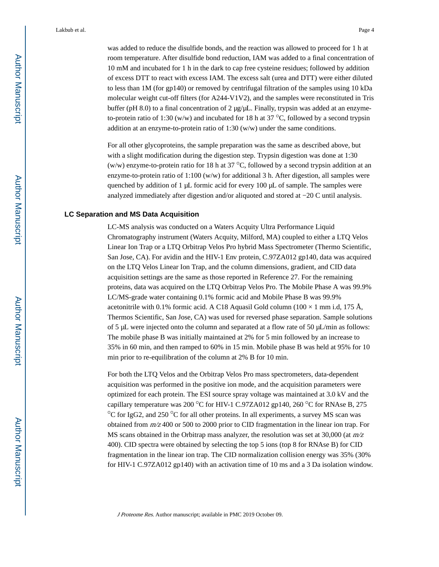was added to reduce the disulfide bonds, and the reaction was allowed to proceed for 1 h at room temperature. After disulfide bond reduction, IAM was added to a final concentration of 10 mM and incubated for 1 h in the dark to cap free cysteine residues; followed by addition of excess DTT to react with excess IAM. The excess salt (urea and DTT) were either diluted to less than 1M (for gp140) or removed by centrifugal filtration of the samples using 10 kDa molecular weight cut-off filters (for A244-V1V2), and the samples were reconstituted in Tris buffer (pH 8.0) to a final concentration of 2  $\mu$ g/ $\mu$ L. Finally, trypsin was added at an enzymeto-protein ratio of 1:30 (w/w) and incubated for 18 h at 37  $\mathrm{^{\circ}C}$ , followed by a second trypsin addition at an enzyme-to-protein ratio of 1:30 (w/w) under the same conditions.

For all other glycoproteins, the sample preparation was the same as described above, but with a slight modification during the digestion step. Trypsin digestion was done at 1:30 (w/w) enzyme-to-protein ratio for 18 h at 37  $\mathrm{^{\circ}C}$ , followed by a second trypsin addition at an enzyme-to-protein ratio of 1:100 (w/w) for additional 3 h. After digestion, all samples were quenched by addition of 1 μL formic acid for every 100 μL of sample. The samples were analyzed immediately after digestion and/or aliquoted and stored at −20 C until analysis.

### **LC Separation and MS Data Acquisition**

LC-MS analysis was conducted on a Waters Acquity Ultra Performance Liquid Chromatography instrument (Waters Acquity, Milford, MA) coupled to either a LTQ Velos Linear Ion Trap or a LTQ Orbitrap Velos Pro hybrid Mass Spectrometer (Thermo Scientific, San Jose, CA). For avidin and the HIV-1 Env protein, C.97ZA012 gp140, data was acquired on the LTQ Velos Linear Ion Trap, and the column dimensions, gradient, and CID data acquisition settings are the same as those reported in Reference 27. For the remaining proteins, data was acquired on the LTQ Orbitrap Velos Pro. The Mobile Phase A was 99.9% LC/MS-grade water containing 0.1% formic acid and Mobile Phase B was 99.9% acetonitrile with 0.1% formic acid. A C18 Aquasil Gold column ( $100 \times 1$  mm i.d, 175 Å, Thermos Scientific, San Jose, CA) was used for reversed phase separation. Sample solutions of 5 μL were injected onto the column and separated at a flow rate of 50 μL/min as follows: The mobile phase B was initially maintained at 2% for 5 min followed by an increase to 35% in 60 min, and then ramped to 60% in 15 min. Mobile phase B was held at 95% for 10 min prior to re-equilibration of the column at 2% B for 10 min.

For both the LTQ Velos and the Orbitrap Velos Pro mass spectrometers, data-dependent acquisition was performed in the positive ion mode, and the acquisition parameters were optimized for each protein. The ESI source spray voltage was maintained at 3.0 kV and the capillary temperature was 200 °C for HIV-1 C.97ZA012 gp140, 260 °C for RNAse B, 275 °C for IgG2, and 250 °C for all other proteins. In all experiments, a survey MS scan was obtained from m/z 400 or 500 to 2000 prior to CID fragmentation in the linear ion trap. For MS scans obtained in the Orbitrap mass analyzer, the resolution was set at 30,000 (at  $m/z$ 400). CID spectra were obtained by selecting the top 5 ions (top 8 for RNAse B) for CID fragmentation in the linear ion trap. The CID normalization collision energy was 35% (30% for HIV-1 C.97ZA012 gp140) with an activation time of 10 ms and a 3 Da isolation window.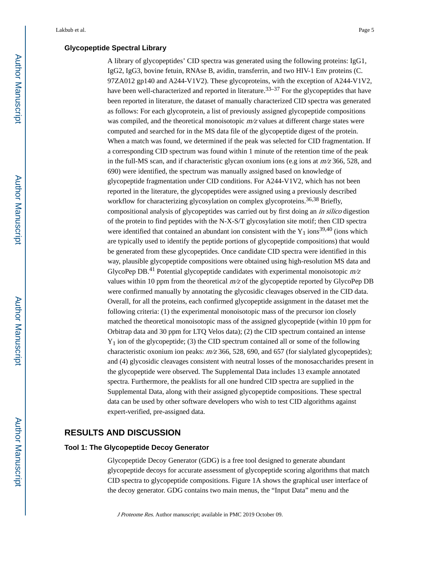#### **Glycopeptide Spectral Library**

A library of glycopeptides' CID spectra was generated using the following proteins: IgG1, IgG2, IgG3, bovine fetuin, RNAse B, avidin, transferrin, and two HIV-1 Env proteins (C. 97ZA012 gp140 and A244-V1V2). These glycoproteins, with the exception of A244-V1V2, have been well-characterized and reported in literature.<sup>33–37</sup> For the glycopeptides that have been reported in literature, the dataset of manually characterized CID spectra was generated as follows: For each glycoprotein, a list of previously assigned glycopeptide compositions was compiled, and the theoretical monoisotopic  $m/z$  values at different charge states were computed and searched for in the MS data file of the glycopeptide digest of the protein. When a match was found, we determined if the peak was selected for CID fragmentation. If a corresponding CID spectrum was found within 1 minute of the retention time of the peak in the full-MS scan, and if characteristic glycan oxonium ions (e.g ions at  $m/z$  366, 528, and 690) were identified, the spectrum was manually assigned based on knowledge of glycopeptide fragmentation under CID conditions. For A244-V1V2, which has not been reported in the literature, the glycopeptides were assigned using a previously described workflow for characterizing glycosylation on complex glycoproteins.<sup>36,38</sup> Briefly, compositional analysis of glycopeptides was carried out by first doing an in silico digestion of the protein to find peptides with the N-X-S/T glycosylation site motif; then CID spectra were identified that contained an abundant ion consistent with the  $Y_1$  ions<sup>39,40</sup> (ions which are typically used to identify the peptide portions of glycopeptide compositions) that would be generated from these glycopeptides. Once candidate CID spectra were identified in this way, plausible glycopeptide compositions were obtained using high-resolution MS data and GlycoPep DB.<sup>41</sup> Potential glycopeptide candidates with experimental monoisotopic  $m/z$ values within 10 ppm from the theoretical  $m/z$  of the glycopeptide reported by GlycoPep DB were confirmed manually by annotating the glycosidic cleavages observed in the CID data. Overall, for all the proteins, each confirmed glycopeptide assignment in the dataset met the following criteria: (1) the experimental monoisotopic mass of the precursor ion closely matched the theoretical monoisotopic mass of the assigned glycopeptide (within 10 ppm for Orbitrap data and 30 ppm for LTQ Velos data); (2) the CID spectrum contained an intense  $Y_1$  ion of the glycopeptide; (3) the CID spectrum contained all or some of the following characteristic oxonium ion peaks:  $m/z$  366, 528, 690, and 657 (for sialylated glycopeptides); and (4) glycosidic cleavages consistent with neutral losses of the monosaccharides present in the glycopeptide were observed. The Supplemental Data includes 13 example annotated spectra. Furthermore, the peaklists for all one hundred CID spectra are supplied in the Supplemental Data, along with their assigned glycopeptide compositions. These spectral data can be used by other software developers who wish to test CID algorithms against expert-verified, pre-assigned data.

## **RESULTS AND DISCUSSION**

#### **Tool 1: The Glycopeptide Decoy Generator**

Glycopeptide Decoy Generator (GDG) is a free tool designed to generate abundant glycopeptide decoys for accurate assessment of glycopeptide scoring algorithms that match CID spectra to glycopeptide compositions. Figure 1A shows the graphical user interface of the decoy generator. GDG contains two main menus, the "Input Data" menu and the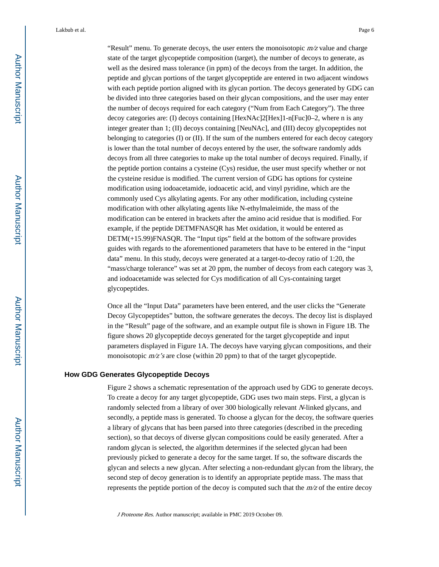"Result" menu. To generate decoys, the user enters the monoisotopic  $m/z$  value and charge state of the target glycopeptide composition (target), the number of decoys to generate, as well as the desired mass tolerance (in ppm) of the decoys from the target. In addition, the peptide and glycan portions of the target glycopeptide are entered in two adjacent windows with each peptide portion aligned with its glycan portion. The decoys generated by GDG can be divided into three categories based on their glycan compositions, and the user may enter the number of decoys required for each category ("Num from Each Category"). The three decoy categories are: (I) decoys containing [HexNAc]2[Hex]1-n[Fuc]0–2, where n is any integer greater than 1; (II) decoys containing [NeuNAc], and (III) decoy glycopeptides not belonging to categories (I) or (II). If the sum of the numbers entered for each decoy category is lower than the total number of decoys entered by the user, the software randomly adds decoys from all three categories to make up the total number of decoys required. Finally, if the peptide portion contains a cysteine (Cys) residue, the user must specify whether or not the cysteine residue is modified. The current version of GDG has options for cysteine modification using iodoacetamide, iodoacetic acid, and vinyl pyridine, which are the commonly used Cys alkylating agents. For any other modification, including cysteine modification with other alkylating agents like N-ethylmaleimide, the mass of the modification can be entered in brackets after the amino acid residue that is modified. For example, if the peptide DETMFNASQR has Met oxidation, it would be entered as DETM(+15.99)FNASQR. The "Input tips" field at the bottom of the software provides guides with regards to the aforementioned parameters that have to be entered in the "input data" menu. In this study, decoys were generated at a target-to-decoy ratio of 1:20, the "mass/charge tolerance" was set at 20 ppm, the number of decoys from each category was 3, and iodoacetamide was selected for Cys modification of all Cys-containing target glycopeptides.

Once all the "Input Data" parameters have been entered, and the user clicks the "Generate Decoy Glycopeptides" button, the software generates the decoys. The decoy list is displayed in the "Result" page of the software, and an example output file is shown in Figure 1B. The figure shows 20 glycopeptide decoys generated for the target glycopeptide and input parameters displayed in Figure 1A. The decoys have varying glycan compositions, and their monoisotopic  $m/z$ 's are close (within 20 ppm) to that of the target glycopeptide.

#### **How GDG Generates Glycopeptide Decoys**

Figure 2 shows a schematic representation of the approach used by GDG to generate decoys. To create a decoy for any target glycopeptide, GDG uses two main steps. First, a glycan is randomly selected from a library of over 300 biologically relevant N-linked glycans, and secondly, a peptide mass is generated. To choose a glycan for the decoy, the software queries a library of glycans that has been parsed into three categories (described in the preceding section), so that decoys of diverse glycan compositions could be easily generated. After a random glycan is selected, the algorithm determines if the selected glycan had been previously picked to generate a decoy for the same target. If so, the software discards the glycan and selects a new glycan. After selecting a non-redundant glycan from the library, the second step of decoy generation is to identify an appropriate peptide mass. The mass that represents the peptide portion of the decoy is computed such that the  $m/z$  of the entire decoy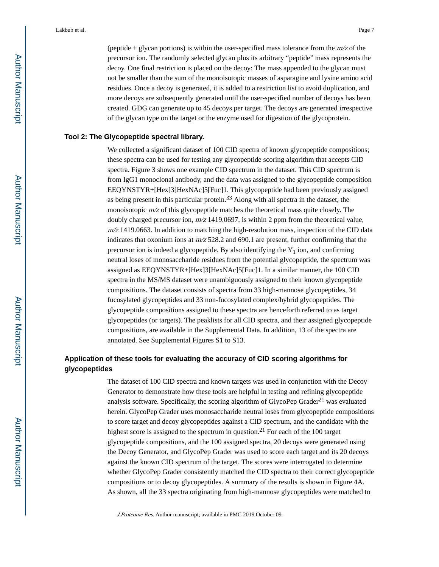(peptide + glycan portions) is within the user-specified mass tolerance from the  $m/z$  of the precursor ion. The randomly selected glycan plus its arbitrary "peptide" mass represents the decoy. One final restriction is placed on the decoy: The mass appended to the glycan must not be smaller than the sum of the monoisotopic masses of asparagine and lysine amino acid residues. Once a decoy is generated, it is added to a restriction list to avoid duplication, and more decoys are subsequently generated until the user-specified number of decoys has been created. GDG can generate up to 45 decoys per target. The decoys are generated irrespective of the glycan type on the target or the enzyme used for digestion of the glycoprotein.

#### **Tool 2: The Glycopeptide spectral library.**

We collected a significant dataset of 100 CID spectra of known glycopeptide compositions; these spectra can be used for testing any glycopeptide scoring algorithm that accepts CID spectra. Figure 3 shows one example CID spectrum in the dataset. This CID spectrum is from IgG1 monoclonal antibody, and the data was assigned to the glycopeptide composition EEQYNSTYR+[Hex]3[HexNAc]5[Fuc]1. This glycopeptide had been previously assigned as being present in this particular protein.33 Along with all spectra in the dataset, the monoisotopic  $m/z$  of this glycopeptide matches the theoretical mass quite closely. The doubly charged precursor ion,  $m/z$  1419.0697, is within 2 ppm from the theoretical value,  $m/z$  1419.0663. In addition to matching the high-resolution mass, inspection of the CID data indicates that oxonium ions at  $m/z$  528.2 and 690.1 are present, further confirming that the precursor ion is indeed a glycopeptide. By also identifying the  $Y_1$  ion, and confirming neutral loses of monosaccharide residues from the potential glycopeptide, the spectrum was assigned as EEQYNSTYR+[Hex]3[HexNAc]5[Fuc]1. In a similar manner, the 100 CID spectra in the MS/MS dataset were unambiguously assigned to their known glycopeptide compositions. The dataset consists of spectra from 33 high-mannose glycopeptides, 34 fucosylated glycopeptides and 33 non-fucosylated complex/hybrid glycopeptides. The glycopeptide compositions assigned to these spectra are henceforth referred to as target glycopeptides (or targets). The peaklists for all CID spectra, and their assigned glycopeptide compositions, are available in the Supplemental Data. In addition, 13 of the spectra are annotated. See Supplemental Figures S1 to S13.

## **Application of these tools for evaluating the accuracy of CID scoring algorithms for glycopeptides**

The dataset of 100 CID spectra and known targets was used in conjunction with the Decoy Generator to demonstrate how these tools are helpful in testing and refining glycopeptide analysis software. Specifically, the scoring algorithm of GlycoPep Grader<sup>21</sup> was evaluated herein. GlycoPep Grader uses monosaccharide neutral loses from glycopeptide compositions to score target and decoy glycopeptides against a CID spectrum, and the candidate with the highest score is assigned to the spectrum in question.<sup>21</sup> For each of the 100 target glycopeptide compositions, and the 100 assigned spectra, 20 decoys were generated using the Decoy Generator, and GlycoPep Grader was used to score each target and its 20 decoys against the known CID spectrum of the target. The scores were interrogated to determine whether GlycoPep Grader consistently matched the CID spectra to their correct glycopeptide compositions or to decoy glycopeptides. A summary of the results is shown in Figure 4A. As shown, all the 33 spectra originating from high-mannose glycopeptides were matched to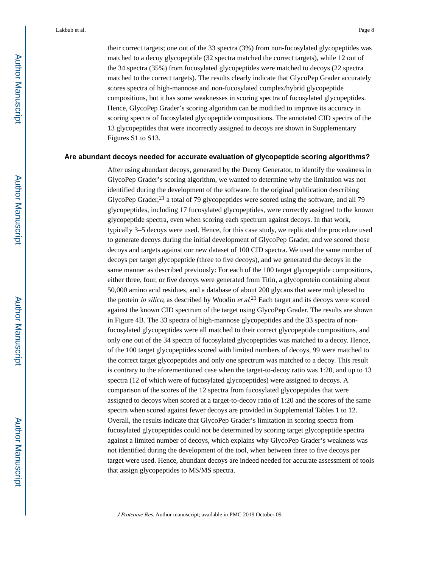their correct targets; one out of the 33 spectra (3%) from non-fucosylated glycopeptides was matched to a decoy glycopeptide (32 spectra matched the correct targets), while 12 out of the 34 spectra (35%) from fucosylated glycopeptides were matched to decoys (22 spectra matched to the correct targets). The results clearly indicate that GlycoPep Grader accurately scores spectra of high-mannose and non-fucosylated complex/hybrid glycopeptide compositions, but it has some weaknesses in scoring spectra of fucosylated glycopeptides. Hence, GlycoPep Grader's scoring algorithm can be modified to improve its accuracy in scoring spectra of fucosylated glycopeptide compositions. The annotated CID spectra of the 13 glycopeptides that were incorrectly assigned to decoys are shown in Supplementary Figures S1 to S13.

#### **Are abundant decoys needed for accurate evaluation of glycopeptide scoring algorithms?**

After using abundant decoys, generated by the Decoy Generator, to identify the weakness in GlycoPep Grader's scoring algorithm, we wanted to determine why the limitation was not identified during the development of the software. In the original publication describing GlycoPep Grader,<sup>21</sup> a total of 79 glycopeptides were scored using the software, and all 79 glycopeptides, including 17 fucosylated glycopeptides, were correctly assigned to the known glycopeptide spectra, even when scoring each spectrum against decoys. In that work, typically 3–5 decoys were used. Hence, for this case study, we replicated the procedure used to generate decoys during the initial development of GlycoPep Grader, and we scored those decoys and targets against our new dataset of 100 CID spectra. We used the same number of decoys per target glycopeptide (three to five decoys), and we generated the decoys in the same manner as described previously: For each of the 100 target glycopeptide compositions, either three, four, or five decoys were generated from Titin, a glycoprotein containing about 50,000 amino acid residues, and a database of about 200 glycans that were multiplexed to the protein *in silico*, as described by Woodin *et al*.<sup>21</sup> Each target and its decoys were scored against the known CID spectrum of the target using GlycoPep Grader. The results are shown in Figure 4B. The 33 spectra of high-mannose glycopeptides and the 33 spectra of nonfucosylated glycopeptides were all matched to their correct glycopeptide compositions, and only one out of the 34 spectra of fucosylated glycopeptides was matched to a decoy. Hence, of the 100 target glycopeptides scored with limited numbers of decoys, 99 were matched to the correct target glycopeptides and only one spectrum was matched to a decoy. This result is contrary to the aforementioned case when the target-to-decoy ratio was 1:20, and up to 13 spectra (12 of which were of fucosylated glycopeptides) were assigned to decoys. A comparison of the scores of the 12 spectra from fucosylated glycopeptides that were assigned to decoys when scored at a target-to-decoy ratio of 1:20 and the scores of the same spectra when scored against fewer decoys are provided in Supplemental Tables 1 to 12. Overall, the results indicate that GlycoPep Grader's limitation in scoring spectra from fucosylated glycopeptides could not be determined by scoring target glycopeptide spectra against a limited number of decoys, which explains why GlycoPep Grader's weakness was not identified during the development of the tool, when between three to five decoys per target were used. Hence, abundant decoys are indeed needed for accurate assessment of tools that assign glycopeptides to MS/MS spectra.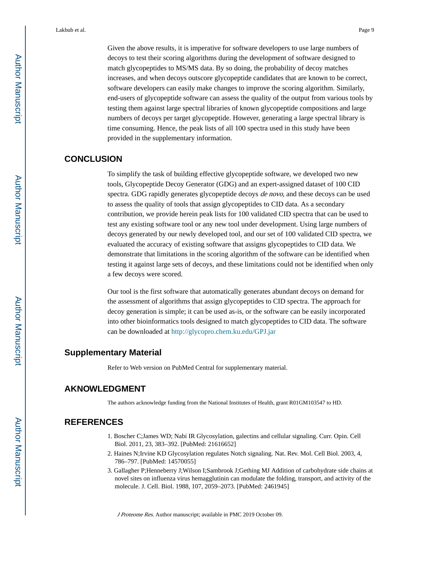Given the above results, it is imperative for software developers to use large numbers of decoys to test their scoring algorithms during the development of software designed to match glycopeptides to MS/MS data. By so doing, the probability of decoy matches increases, and when decoys outscore glycopeptide candidates that are known to be correct, software developers can easily make changes to improve the scoring algorithm. Similarly, end-users of glycopeptide software can assess the quality of the output from various tools by testing them against large spectral libraries of known glycopeptide compositions and large numbers of decoys per target glycopeptide. However, generating a large spectral library is time consuming. Hence, the peak lists of all 100 spectra used in this study have been provided in the supplementary information.

#### **CONCLUSION**

To simplify the task of building effective glycopeptide software, we developed two new tools, Glycopeptide Decoy Generator (GDG) and an expert-assigned dataset of 100 CID spectra. GDG rapidly generates glycopeptide decoys *de novo*, and these decoys can be used to assess the quality of tools that assign glycopeptides to CID data. As a secondary contribution, we provide herein peak lists for 100 validated CID spectra that can be used to test any existing software tool or any new tool under development. Using large numbers of decoys generated by our newly developed tool, and our set of 100 validated CID spectra, we evaluated the accuracy of existing software that assigns glycopeptides to CID data. We demonstrate that limitations in the scoring algorithm of the software can be identified when testing it against large sets of decoys, and these limitations could not be identified when only a few decoys were scored.

Our tool is the first software that automatically generates abundant decoys on demand for the assessment of algorithms that assign glycopeptides to CID spectra. The approach for decoy generation is simple; it can be used as-is, or the software can be easily incorporated into other bioinformatics tools designed to match glycopeptides to CID data. The software can be downloaded at<http://glycopro.chem.ku.edu/GPJ.jar>

## **Supplementary Material**

Refer to Web version on PubMed Central for supplementary material.

### **AKNOWLEDGMENT**

The authors acknowledge funding from the National Institutes of Health, grant R01GM103547 to HD.

## **REFERENCES**

- 1. Boscher C;James WD; Nabi IR Glycosylation, galectins and cellular signaling. Curr. Opin. Cell Biol. 2011, 23, 383–392. [PubMed: 21616652]
- 2. Haines N;Irvine KD Glycosylation regulates Notch signaling. Nat. Rev. Mol. Cell Biol. 2003, 4, 786–797. [PubMed: 14570055]
- 3. Gallagher P;Henneberry J;Wilson I;Sambrook J;Gething MJ Addition of carbohydrate side chains at novel sites on influenza virus hemagglutinin can modulate the folding, transport, and activity of the molecule. J. Cell. Biol. 1988, 107, 2059–2073. [PubMed: 2461945]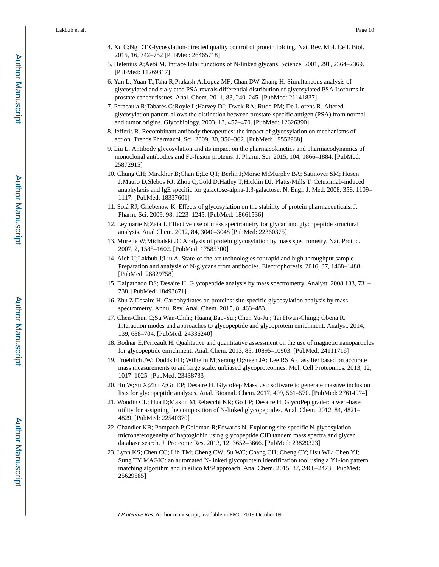- 4. Xu C;Ng DT Glycosylation-directed quality control of protein folding. Nat. Rev. Mol. Cell. Biol. 2015, 16, 742–752 [PubMed: 26465718]
- 5. Helenius A;Aebi M. Intracellular functions of N-linked glycans. Science. 2001, 291, 2364–2369. [PubMed: 11269317]
- 6. Yan L.;Yuan T.;Taha R;Prakash A;Lopez MF; Chan DW Zhang H. Simultaneous analysis of glycosylated and sialylated PSA reveals differential distribution of glycosylated PSA Isoforms in prostate cancer tissues. Anal. Chem. 2011, 83, 240–245. [PubMed: 21141837]
- 7. Peracaula R;Tabarés G;Royle L;Harvey DJ; Dwek RA; Rudd PM; De Llorens R. Altered glycosylation pattern allows the distinction between prostate-specific antigen (PSA) from normal and tumor origins. Glycobiology. 2003, 13, 457–470. [PubMed: 12626390]
- 8. Jefferis R. Recombinant antibody therapeutics: the impact of glycosylation on mechanisms of action. Trends Pharmacol. Sci. 2009, 30, 356–362. [PubMed: 19552968]
- 9. Liu L. Antibody glycosylation and its impact on the pharmacokinetics and pharmacodynamics of monoclonal antibodies and Fc-fusion proteins. J. Pharm. Sci. 2015, 104, 1866–1884. [PubMed: 25872915]
- 10. Chung CH; Mirakhur B;Chan E;Le QT; Berlin J;Morse M;Murphy BA; Satinover SM; Hosen J;Mauro D;Slebos RJ; Zhou Q;Gold D;Hatley T;Hicklin DJ; Platts-Mills T. Cetuximab-induced anaphylaxis and IgE specific for galactose-alpha-1,3-galactose. N. Engl. J. Med. 2008, 358, 1109– 1117. [PubMed: 18337601]
- 11. Solá RJ; Griebenow K. Effects of glycosylation on the stability of protein pharmaceuticals. J. Pharm. Sci. 2009, 98, 1223–1245. [PubMed: 18661536]
- 12. Leymarie N;Zaia J. Effective use of mass spectrometry for glycan and glycopeptide structural analysis. Anal Chem. 2012, 84, 3040–3048 [PubMed: 22360375]
- 13. Morelle W;Michalski JC Analysis of protein glycosylation by mass spectrometry. Nat. Protoc. 2007, 2, 1585–1602. [PubMed: 17585300]
- 14. Aich U;Lakbub J;Liu A. State-of-the-art technologies for rapid and high-throughput sample Preparation and analysis of N-glycans from antibodies. Electrophoresis. 2016, 37, 1468–1488. [PubMed: 26829758]
- 15. Dalpathado DS; Desaire H. Glycopeptide analysis by mass spectrometry. Analyst. 2008 133, 731– 738. [PubMed: 18493671]
- 16. Zhu Z;Desaire H. Carbohydrates on proteins: site-specific glycosylation analysis by mass spectrometry. Annu. Rev. Anal. Chem. 2015, 8, 463–483.
- 17. Chen-Chun C;Su Wan-Chih.; Huang Bao-Yu.; Chen Yu-Ju.; Tai Hwan-Ching.; Obena R. Interaction modes and approaches to glycopeptide and glycoprotein enrichment. Analyst. 2014, 139, 688–704. [PubMed: 24336240]
- 18. Bodnar E;Perreault H. Qualitative and quantitative assessment on the use of magnetic nanoparticles for glycopeptide enrichment. Anal. Chem. 2013, 85, 10895–10903. [PubMed: 24111716]
- 19. Froehlich JW; Dodds ED; Wilhelm M;Serang O;Steen JA; Lee RS A classifier based on accurate mass measurements to aid large scale, unbiased glycoproteomics. Mol. Cell Proteomics. 2013, 12, 1017–1025. [PubMed: 23438733]
- 20. Hu W;Su X;Zhu Z;Go EP; Desaire H. GlycoPep MassList: software to generate massive inclusion lists for glycopeptide analyses. Anal. Bioanal. Chem. 2017, 409, 561–570. [PubMed: 27614974]
- 21. Woodin CL; Hua D;Maxon M;Rebecchi KR; Go EP; Desaire H. GlycoPep grader: a web-based utility for assigning the composition of N-linked glycopeptides. Anal. Chem. 2012, 84, 4821– 4829. [PubMed: 22540370]
- 22. Chandler KB; Pompach P;Goldman R;Edwards N. Exploring site-specific N-glycosylation microheterogeneity of haptoglobin using glycopeptide CID tandem mass spectra and glycan database search. J. Proteome Res. 2013, 12, 3652–3666. [PubMed: 23829323]
- 23. Lynn KS; Chen CC; Lih TM; Cheng CW; Su WC; Chang CH; Cheng CY; Hsu WL; Chen YJ; Sung TY MAGIC: an automated N-linked glycoprotein identification tool using a Y1-ion pattern matching algorithm and in silico MS² approach. Anal Chem. 2015, 87, 2466–2473. [PubMed: 25629585]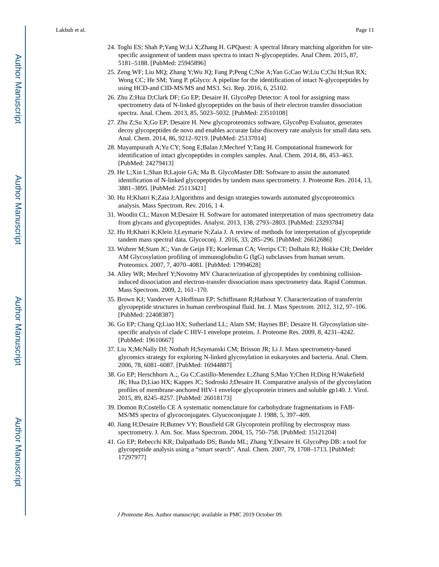- 24. Toghi ES; Shah P;Yang W;Li X;Zhang H. GPQuest: A spectral library matching algorithm for sitespecific assignment of tandem mass spectra to intact N-glycopeptides. Anal Chem. 2015, 87, 5181–5188. [PubMed: 25945896]
- 25. Zeng WF; Liu MQ; Zhang Y;Wu JQ; Fang P;Peng C;Nie A;Yan G;Cao W;Liu C;Chi H;Sun RX; Wong CC; He SM; Yang P. pGlyco: A pipeline for the identification of intact N-glycopeptides by using HCD-and CID-MS/MS and MS3. Sci. Rep. 2016, 6, 25102.
- 26. Zhu Z;Hua D;Clark DF; Go EP; Desaire H. GlycoPep Detector: A tool for assigning mass spectrometry data of N-linked glycopeptides on the basis of their electron transfer dissociation spectra. Anal. Chem. 2013, 85, 5023–5032. [PubMed: 23510108]
- 27. Zhu Z;Su X;Go EP; Desaire H. New glycoproteomics software, GlycoPep Evaluator, generates decoy glycopeptides de novo and enables accurate false discovery rate analysis for small data sets. Anal. Chem. 2014, 86, 9212–9219. [PubMed: 25137014]
- 28. Mayampurath A;Yu CY; Song E;Balan J;Mechref Y;Tang H. Computational framework for identification of intact glycopeptides in complex samples. Anal. Chem. 2014, 86, 453–463. [PubMed: 24279413]
- 29. He L;Xin L;Shan B;Lajoie GA; Ma B. GlycoMaster DB: Software to assist the automated identification of N-linked glycopeptides by tandem mass spectrometry. J. Proteome Res. 2014, 13, 3881–3895. [PubMed: 25113421]
- 30. Hu H;Khatri K;Zaia J;Algorithms and design strategies towards automated glycoproteomics analysis. Mass Spectrom. Rev. 2016, 1 4.
- 31. Woodin CL; Maxon M;Desaire H. Software for automated interpretation of mass spectrometry data from glycans and glycopeptides. Analyst. 2013, 138, 2793–2803. [PubMed: 23293784]
- 32. Hu H;Khatri K;Klein J;Leymarie N;Zaia J. A review of methods for interpretation of glycopeptide tandem mass spectral data. Glycoconj. J. 2016, 33, 285–296. [PubMed: 26612686]
- 33. Wuhrer M;Stam JC; Van de Geijn FE; Koeleman CA; Verrips CT; Dolhain RJ; Hokke CH; Deelder AM Glycosylation profiling of immunoglobulin G (IgG) subclasses from human serum. Proteomics. 2007, 7, 4070–4081. [PubMed: 17994628]
- 34. Alley WR; Mechref Y;Novotny MV Characterization of glycopeptides by combining collisioninduced dissociation and electron-transfer dissociation mass spectrometry data. Rapid Commun. Mass Spectrom. 2009, 2, 161–170.
- 35. Brown KJ; Vanderver A;Hoffman EP; Schiffmann R;Hathout Y. Characterization of transferrin glycopeptide structures in human cerebrospinal fluid. Int. J. Mass Spectrom. 2012, 312, 97–106. [PubMed: 22408387]
- 36. Go EP; Chang Q;Liao HX; Sutherland LL; Alam SM; Haynes BF; Desaire H. Glycosylation sitespecific analysis of clade C HIV-1 envelope proteins. J. Proteome Res. 2009, 8, 4231–4242. [PubMed: 19610667]
- 37. Liu X;McNally DJ; Nothaft H;Szymanski CM; Brisson JR; Li J. Mass spectrometry-based glycomics strategy for exploring N-linked glycosylation in eukaryotes and bacteria. Anal. Chem. 2006, 78, 6081–6087. [PubMed: 16944887]
- 38. Go EP; Herschhorn A.;, Gu C;Castillo-Menendez L;Zhang S;Mao Y;Chen H;Ding H;Wakefield JK; Hua D;Liao HX; Kappes JC; Sodroski J;Desaire H. Comparative analysis of the glycosylation profiles of membrane-anchored HIV-1 envelope glycoprotein trimers and soluble gp140. J. Virol. 2015, 89, 8245–8257. [PubMed: 26018173]
- 39. Domon B;Costello CE A systematic nomenclature for carbohydrate fragmentations in FAB-MS/MS spectra of glycoconjugates. Glyucoconjugate J. 1988, 5, 397–409.
- 40. Jiang H;Desaire H;Butnev VY; Bousfield GR Glycoprotein profiling by electrospray mass spectrometry. J. Am. Soc. Mass Spectrom. 2004, 15, 750–758. [PubMed: 15121204]
- 41. Go EP; Rebecchi KR; Dalpathado DS; Bandu ML; Zhang Y;Desaire H. GlycoPep DB: a tool for glycopeptide analysis using a "smart search". Anal. Chem. 2007, 79, 1708–1713. [PubMed: 17297977]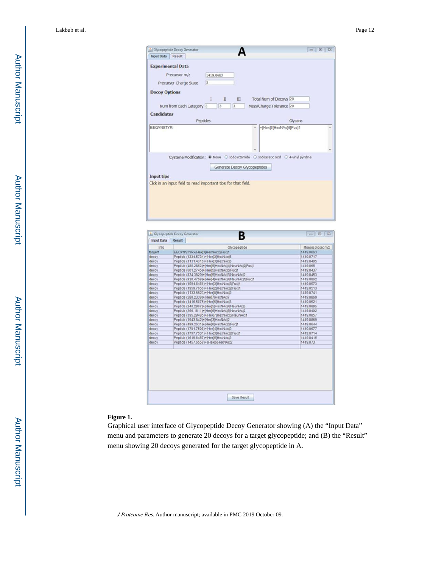| <b>Experimental Data</b> |              |            |            |                              |  |
|--------------------------|--------------|------------|------------|------------------------------|--|
| Precursor m/z            | 1419.0663    |            |            |                              |  |
| Precursor Charge State   | 2            |            |            |                              |  |
| <b>Decoy Options</b>     |              |            |            |                              |  |
|                          | $\mathbf{I}$ | $\rm{II}$  | III        | Total Num of Decoys 20       |  |
| Num from Each Category 3 |              | $\sqrt{3}$ | $\sqrt{3}$ | Mass/Charge Tolerance 20     |  |
| <b>Candidates</b>        |              |            |            |                              |  |
|                          | Peptides     |            |            | Glycans                      |  |
|                          |              |            |            |                              |  |
|                          |              |            |            |                              |  |
|                          |              |            |            | Generate Decoy Glycopeptides |  |
|                          |              |            |            |                              |  |
| <b>Input tips</b>        |              |            |            |                              |  |

| <b>Input Data</b> | Β<br><b>Result</b>                                |                  |
|-------------------|---------------------------------------------------|------------------|
| Info              | Glycopeptide                                      | Monoisotopic m/z |
| target1           | EEQYNSTYR+[Hex]3[HexNAc]5[Fuc]1                   | 1419 0663        |
| decoy             | Peptide (1334.5734)+[Hex]3[HexNAc]5               | 1419.0717        |
| decoy             | Peptide (1131.4316)+[Hex]3[HexNAc]6               | 1419.0405        |
| decoy             | Peptide (485.2852)+(Hex)5(HexNAc)4(NeuNAc)2(Fuc)1 | 1419.065         |
| decoy             | Peptide (661.2745)+[Hex]5[HexNAc]6[Fuc]1          | 1419.0437        |
| decoy             | Peptide (834.3829)+[Hex]5[HexNAc]3[NeuNAc]2       | 1419.0453        |
| decoy             | Peptide (938.4758)+[Hex]4[HexNAc]4[NeuNAc]1[Fuc]1 | 1419.0862        |
| decoy             | Peptide (1594.6456)+(Hex)3(HexNAc)3(Fuc)1         | 1419.0573        |
| decoy             | Peptide (1959.7656)+[Hex]2]HexNAc]2[Fuc]1         | 1419.0513        |
| decoy             | Peptide (1133.5523)+[Hex]8[HexNAc]2               | 1419.0741        |
| decov             | Peptide (280.2338)+[Hex]7[HexNAc]7                | 1419.0869        |
| decoy             | Peptide (1416.5875)+[Hex]5[HexNAc]3               | 1419.0521        |
| decoy             | Peptide (340.2967)+[Hex]5[HexNAc]4[NeuNAc]3       | 1419.0895        |
| decoy             | Peptide (266.1611)+[Hex]6[HexNAc]5[NeuNAc]2       | 1419.0402        |
| decoy             | Peptide (395.29485)+[Hex]7[HexNAc]5[NeuNAc]1      | 1419.0857        |
| decoy             | Peptide (1943.842)+[Hex]3[HexNAc]2                | 1419.0869        |
| decoy             | Peptide (499.2631)+[Hex]6[HexNAc]6[Fuc]1          | 1419.0644        |
| decoy             | Peptide (1781.7508)+[Hex]4[HexNAc]2               | 1419.0677        |
| decoy             | Peptide (1797.7531)+[Hex]3[HexNAc]2[Fuc]1         | 1419.0714        |
| decoy             | Peptide (1619.6457)+[Hex]5[HexNAc]2               | 1419.0415        |
| decoy             | Peptide (1457.6558)+ [Hex]6[HexNAc]2              | 1419.073         |
|                   |                                                   |                  |
|                   |                                                   |                  |

#### **Figure 1.**

Graphical user interface of Glycopeptide Decoy Generator showing (A) the "Input Data" menu and parameters to generate 20 decoys for a target glycopeptide; and (B) the "Result" menu showing 20 decoys generated for the target glycopeptide in A.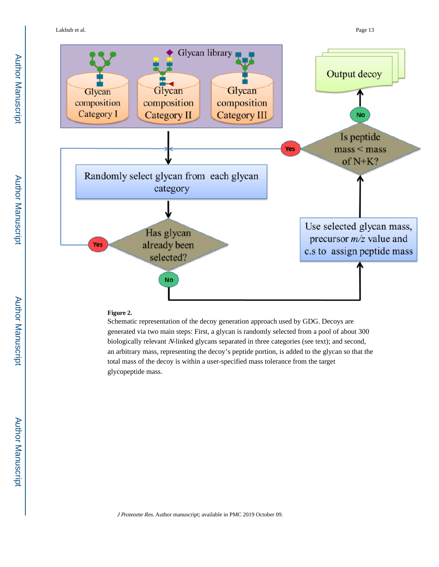

#### **Figure 2.**

Schematic representation of the decoy generation approach used by GDG. Decoys are generated via two main steps: First, a glycan is randomly selected from a pool of about 300 biologically relevant N-linked glycans separated in three categories (see text); and second, an arbitrary mass, representing the decoy's peptide portion, is added to the glycan so that the total mass of the decoy is within a user-specified mass tolerance from the target glycopeptide mass.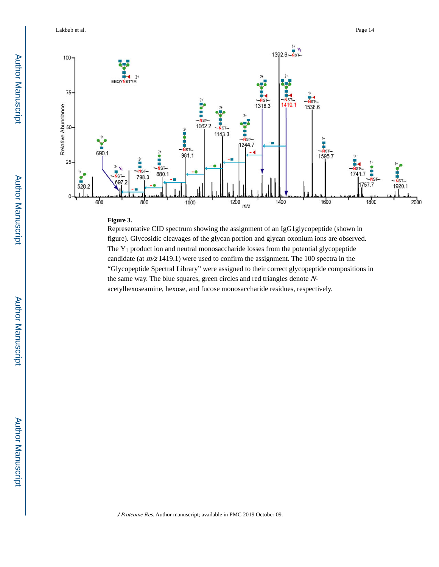Lakbub et al. Page 14



#### **Figure 3.**

Representative CID spectrum showing the assignment of an IgG1glycopeptide (shown in figure). Glycosidic cleavages of the glycan portion and glycan oxonium ions are observed. The  $Y_1$  product ion and neutral monosaccharide losses from the potential glycopeptide candidate (at  $m/z$  1419.1) were used to confirm the assignment. The 100 spectra in the "Glycopeptide Spectral Library" were assigned to their correct glycopeptide compositions in the same way. The blue squares, green circles and red triangles denote Nacetylhexoseamine, hexose, and fucose monosaccharide residues, respectively.